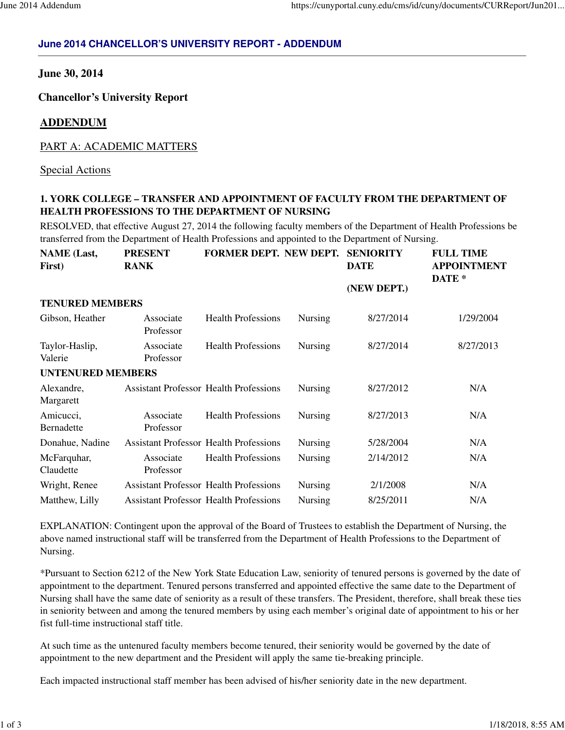# **June 2014 CHANCELLOR'S UNIVERSITY REPORT - ADDENDUM**

### **June 30, 2014**

 **Chancellor's University Report** 

#### **ADDENDUM**

### PART A: ACADEMIC MATTERS

Special Actions

# **1. YORK COLLEGE – TRANSFER AND APPOINTMENT OF FACULTY FROM THE DEPARTMENT OF HEALTH PROFESSIONS TO THE DEPARTMENT OF NURSING**

 RESOLVED, that effective August 27, 2014 the following faculty members of the Department of Health Professions be transferred from the Department of Health Professions and appointed to the Department of Nursing.

| <b>NAME</b> (Last,<br>First) | <b>PRESENT</b><br><b>RANK</b>                 | FORMER DEPT. NEW DEPT.    |                | <b>SENIORITY</b><br><b>DATE</b> | <b>FULL TIME</b><br><b>APPOINTMENT</b><br>DATE <sup>*</sup> |
|------------------------------|-----------------------------------------------|---------------------------|----------------|---------------------------------|-------------------------------------------------------------|
|                              |                                               |                           |                | (NEW DEPT.)                     |                                                             |
| <b>TENURED MEMBERS</b>       |                                               |                           |                |                                 |                                                             |
| Gibson, Heather              | Associate<br>Professor                        | <b>Health Professions</b> | <b>Nursing</b> | 8/27/2014                       | 1/29/2004                                                   |
| Taylor-Haslip,<br>Valerie    | Associate<br>Professor                        | <b>Health Professions</b> | Nursing        | 8/27/2014                       | 8/27/2013                                                   |
| <b>UNTENURED MEMBERS</b>     |                                               |                           |                |                                 |                                                             |
| Alexandre,<br>Margarett      | <b>Assistant Professor Health Professions</b> |                           | <b>Nursing</b> | 8/27/2012                       | N/A                                                         |
| Amicucci,<br>Bernadette      | Associate<br>Professor                        | <b>Health Professions</b> | Nursing        | 8/27/2013                       | N/A                                                         |
| Donahue, Nadine              | <b>Assistant Professor Health Professions</b> |                           | <b>Nursing</b> | 5/28/2004                       | N/A                                                         |
| McFarquhar,<br>Claudette     | Associate<br>Professor                        | <b>Health Professions</b> | <b>Nursing</b> | 2/14/2012                       | N/A                                                         |
| Wright, Renee                | <b>Assistant Professor Health Professions</b> |                           | <b>Nursing</b> | 2/1/2008                        | N/A                                                         |
| Matthew, Lilly               | <b>Assistant Professor Health Professions</b> |                           | Nursing        | 8/25/2011                       | N/A                                                         |

 EXPLANATION: Contingent upon the approval of the Board of Trustees to establish the Department of Nursing, the above named instructional staff will be transferred from the Department of Health Professions to the Department of Nursing.

 \*Pursuant to Section 6212 of the New York State Education Law, seniority of tenured persons is governed by the date of appointment to the department. Tenured persons transferred and appointed effective the same date to the Department of Nursing shall have the same date of seniority as a result of these transfers. The President, therefore, shall break these ties in seniority between and among the tenured members by using each member's original date of appointment to his or her fist full-time instructional staff title.

 At such time as the untenured faculty members become tenured, their seniority would be governed by the date of appointment to the new department and the President will apply the same tie-breaking principle.

Each impacted instructional staff member has been advised of his/her seniority date in the new department.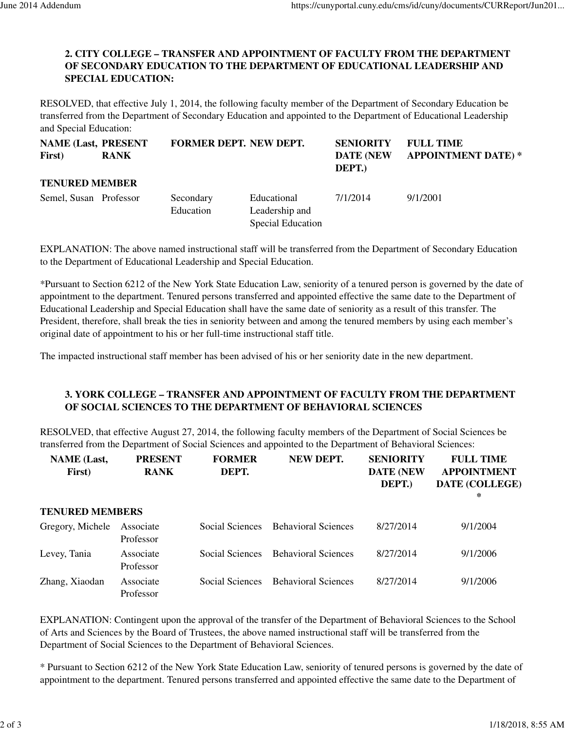### **2. CITY COLLEGE – TRANSFER AND APPOINTMENT OF FACULTY FROM THE DEPARTMENT OF SECONDARY EDUCATION TO THE DEPARTMENT OF EDUCATIONAL LEADERSHIP AND SPECIAL EDUCATION:**

 RESOLVED, that effective July 1, 2014, the following faculty member of the Department of Secondary Education be transferred from the Department of Secondary Education and appointed to the Department of Educational Leadership and Special Education:

| <b>NAME (Last, PRESENT)</b><br>First) | <b>RANK</b> | <b>FORMER DEPT. NEW DEPT.</b> |                                                    | <b>SENIORITY</b><br><b>DATE (NEW)</b><br>DEPT.) | <b>FULL TIME</b><br><b>APPOINTMENT DATE)*</b> |
|---------------------------------------|-------------|-------------------------------|----------------------------------------------------|-------------------------------------------------|-----------------------------------------------|
| <b>TENURED MEMBER</b>                 |             |                               |                                                    |                                                 |                                               |
| Semel, Susan Professor                |             | Secondary<br>Education        | Educational<br>Leadership and<br>Special Education | 7/1/2014                                        | 9/1/2001                                      |

 EXPLANATION: The above named instructional staff will be transferred from the Department of Secondary Education to the Department of Educational Leadership and Special Education.

 \*Pursuant to Section 6212 of the New York State Education Law, seniority of a tenured person is governed by the date of appointment to the department. Tenured persons transferred and appointed effective the same date to the Department of Educational Leadership and Special Education shall have the same date of seniority as a result of this transfer. The President, therefore, shall break the ties in seniority between and among the tenured members by using each member's original date of appointment to his or her full-time instructional staff title.

The impacted instructional staff member has been advised of his or her seniority date in the new department.

### **3. YORK COLLEGE – TRANSFER AND APPOINTMENT OF FACULTY FROM THE DEPARTMENT OF SOCIAL SCIENCES TO THE DEPARTMENT OF BEHAVIORAL SCIENCES**

 RESOLVED, that effective August 27, 2014, the following faculty members of the Department of Social Sciences be transferred from the Department of Social Sciences and appointed to the Department of Behavioral Sciences:

| <b>NAME</b> (Last,<br>First) | <b>PRESENT</b><br><b>RANK</b> | <b>FORMER</b><br>DEPT. | NEW DEPT.                  | <b>SENIORITY</b><br><b>DATE (NEW</b><br>DEPT.) | <b>FULL TIME</b><br><b>APPOINTMENT</b><br>DATE (COLLEGE)<br>∗ |
|------------------------------|-------------------------------|------------------------|----------------------------|------------------------------------------------|---------------------------------------------------------------|
| <b>TENURED MEMBERS</b>       |                               |                        |                            |                                                |                                                               |
| Gregory, Michele             | Associate<br>Professor        | Social Sciences        | <b>Behavioral Sciences</b> | 8/27/2014                                      | 9/1/2004                                                      |
| Levey, Tania                 | Associate<br>Professor        | Social Sciences        | <b>Behavioral Sciences</b> | 8/27/2014                                      | 9/1/2006                                                      |
| Zhang, Xiaodan               | Associate<br>Professor        | Social Sciences        | <b>Behavioral Sciences</b> | 8/27/2014                                      | 9/1/2006                                                      |

 EXPLANATION: Contingent upon the approval of the transfer of the Department of Behavioral Sciences to the School of Arts and Sciences by the Board of Trustees, the above named instructional staff will be transferred from the Department of Social Sciences to the Department of Behavioral Sciences.

 \* Pursuant to Section 6212 of the New York State Education Law, seniority of tenured persons is governed by the date of appointment to the department. Tenured persons transferred and appointed effective the same date to the Department of